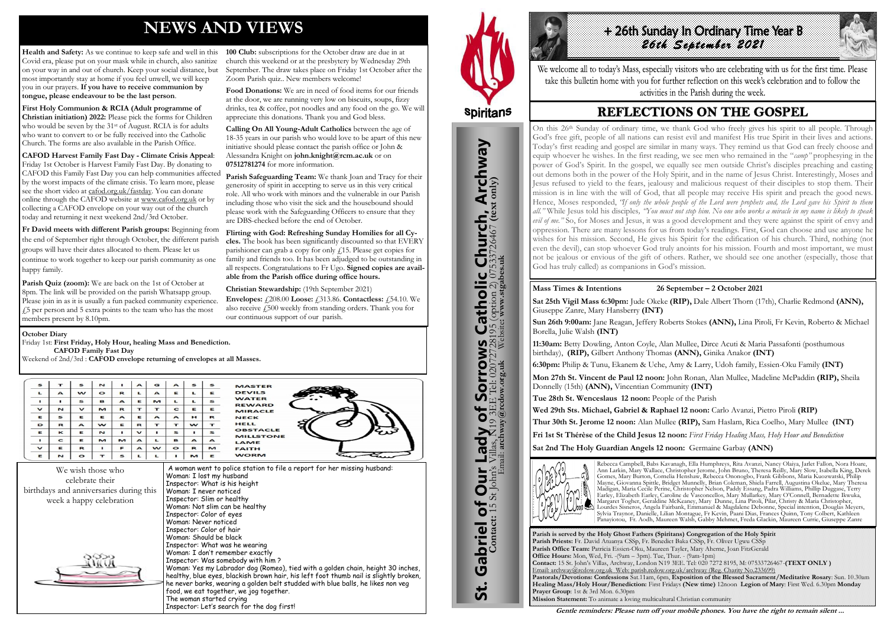# **NEWS AND VIEWS**

**Health and Safety:** As we continue to keep safe and well in this Covid era, please put on your mask while in church, also sanitize on your way in and out of church. Keep your social distance, but most importantly stay at home if you feel unwell, we will keep you in our prayers. **If you have to receive communion by tongue, please endeavour to be the last person**.

**First Holy Communion & RCIA (Adult programme of Christian initiation) 2022:** Please pick the forms for Children who would be seven by the 31<sup>st</sup> of August. RCIA is for adults who want to convert to or be fully received into the Catholic Church. The forms are also available in the Parish Office.

**100 Club:** subscriptions for the October draw are due in at church this weekend or at the presbytery by Wednesday 29th September. The draw takes place on Friday 1st October after the Zoom Parish quiz.. New members welcome!

**CAFOD Harvest Family Fast Day - Climate Crisis Appeal**: Friday 1st October is Harvest Family Fast Day. By donating to CAFOD this Family Fast Day you can help communities affected by the worst impacts of the climate crisis. To learn more, please see the short video at [cafod.org.uk/fastday.](http://cafod.org.uk/fastday) You can donate online through the CAFOD website at [www.cafod.org.uk](http://www.cafod.org.uk/) or by collecting a CAFOD envelope on your way out of the church today and returning it next weekend 2nd/3rd October.

**Fr David meets with different Parish groups:** Beginning from the end of September right through October, the different parish groups will have their dates allocated to them. Please let us continue to work together to keep our parish community as one happy family.

Parish Safeguarding Team: We thank Joan and Tracy for their generosity of spirit in accepting to serve us in this very critical role. All who work with minors and the vulnerable in our Parish including those who visit the sick and the housebound should please work with the Safeguarding Officers to ensure that they are DBS-checked before the end of October.

**Parish Quiz (zoom):** We are back on the 1st of October at 8pm. The link will be provided on the parish Whatsapp group. Please join in as it is usually a fun packed community experience. £5 per person and 5 extra points to the team who has the most members present by 8.10pm.

**Food Donations:** We are in need of food items for our friends at the door, we are running very low on biscuits, soups, fizzy drinks, tea & coffee, pot noodles and any food on the go. We will appreciate this donations. Thank you and God bless.

# +26th Sunday In Ordinary Time Year B *26th September 2021*

We welcome all to today's Mass, especially visitors who are celebrating with us for the first time. Please take this bulletin home with you for further reflection on this week's celebration and to follow the activities in the Parish during the week.

## **REFLECTIONS ON THE GOSPEL**

**Calling On All Young-Adult Catholics** between the age of 18-35 years in our parish who would love to be apart of this new initiative should please contact the parish office or John & Alessandra Knight on **john.knight@rcm.ac.uk** or on **07512781274** for more information.

**Flirting with God: Refreshing Sunday Homilies for all Cycles.** The book has been significantly discounted so that EVERY parishioner can grab a copy for only  $\ell$ 15. Please get copies for family and friends too. It has been adjudged to be outstanding in all respects. Congratulations to Fr Ugo. **Signed copies are available from the Parish office during office hours.**

**Christian Stewardship:** (19th September 2021) **Envelopes:** £208.00 **Loose:** £313.86. **Contactless:** £54.10. We also receive £500 weekly from standing orders. Thank you for our continuous support of our parish.





St. Gabriel of Our Lady of Sorrows Catholic Church, Archway

Sorrows

Lady of

**Our** 

Gabriel of Our

<u>ჭ</u>

**S Catholic Church, Archway**<br>28195 (option 2) 07533726467 (text only)

#### **October Diary**

Friday 1st: **First Friday, Holy Hour, healing Mass and Benediction. CAFOD Family Fast Day** Weekend of 2nd/3rd : **CAFOD envelope returning of envelopes at all Masses.**

| S            |                  | $\mathbf{s}$  | N            |                  | $\blacktriangle$ | G                | $\blacktriangle$ | s            | s             | <b>MASTER</b>                       |
|--------------|------------------|---------------|--------------|------------------|------------------|------------------|------------------|--------------|---------------|-------------------------------------|
| $\mathbf{L}$ | $\triangleright$ | w             | $\bullet$    | $\mathbf R$      | L                | $\blacktriangle$ | Е                |              | E             | <b>DEVILS</b>                       |
|              |                  | $\mathbf{s}$  | в            | $\blacktriangle$ | E                | M                | L                |              | s             | <b>WATER</b><br><b>REWARD</b>       |
| $\mathbf{v}$ | N                | $\mathbf v$   | $\mathbf{M}$ | $\mathbf R$      | т                | т                | $\mathbf{C}$     | Е            | E             | <b>MIRACLE</b>                      |
| E            | $\mathbf{s}$     | E             | Е            | $\blacktriangle$ | E                | $\blacktriangle$ | $\triangleright$ | н            | $\mathbb{R}$  | <b>NECK</b>                         |
| D            | $\mathbb{R}$     | $\rightarrow$ | w            | E                | R                | т                | т                | w            | $\mathbf{r}$  | <b>HELL</b>                         |
| E            | $\kappa$         | Е             | N            |                  | $\checkmark$     |                  | s                |              | $\mathbf{S}$  | <b>OBSTACLE</b><br><b>MILLSTONE</b> |
|              | $\mathbf{C}$     | E             | M            | M                | $\triangleright$ | $\mathbf{L}$     | в                | $\mathbf{A}$ | $\rightarrow$ | LAME                                |
| $\mathbf{v}$ | Е                | $\mathbb{R}$  |              | $\mathbf{r}$     | $\triangleright$ | w                | $\bullet$        | R            | M             | <b>FAITH</b>                        |
| E            | $\mathbf{N}$     | $\circ$       |              | S                |                  |                  |                  | M            | E             | <b>WORM</b>                         |

**Parish is served by the Holy Ghost Fathers (Spiritans) Congregation of the Holy Spirit Parish Priests:** Fr. David Atuanya CSSp, Fr. Benedict Baka CSSp, Fr. Oliver Ugwu CSSp **Parish Office Team:** Patricia Essien-Oku, Maureen Tayler, Mary Aherne, Joan FitzGerald **Office Hours:** Mon, Wed, Fri. -(9am – 3pm). Tue, Thur. - (9am-1pm) **Contact:** 15 St. John's Villas, Archway, London N19 3EE. Tel: 020 7272 8195, M: 07533726467-**(TEXT ONLY )** Email: archway@rcdow.org.uk Web: parish.rcdow.org.uk/archway (Reg. Charity No.233699) **Pastorals/Devotions: Confessions** Sat.11am, 6pm, **Exposition of the Blessed Sacrament/Meditative Rosary**: Sun. 10.30am **Healing Mass/Holy Hour/Benediction:** First Fridays **(New time)** 12noon **Legion of Mary**: First Wed. 6.30pm **Monday Prayer Group**: 1st & 3rd Mon. 6.30pm **Mission Statement:** To animate a loving multicultural Christian community

**Contact:** 15 St John's Villas, N19 3EE Tel: 02072728195 (option 2) 07533726467 **(text only)** Email: **archway@rcdow.org.uk** Website**: www.stgabes.uk**

i's Villas, **N**19 3EE Tel: 0207<br>Email: **archway@redow.org.uk** 

 $\mathbb{Z}$ 

**Mass Times & Intentions 26 September – 2 October 2021**

**Sat 25th Vigil Mass 6:30pm:** Jude Okeke **(RIP),** Dale Albert Thorn (17th), Charlie Redmond **(ANN),**  Giuseppe Zanre, Mary Hansberry **(INT) Sun 26th 9:00am:** Jane Reagan, Jeffery Roberts Stokes **(ANN),** Lina Piroli, Fr Kevin, Roberto & Michael Borella, Julie Walsh **(INT)**

**11:30am:** Betty Dowling, Anton Coyle, Alan Mullee, Dirce Acuti & Maria Passafonti (posthumous birthday), **(RIP),** Gilbert Anthony Thomas **(ANN),** Ginika Anakor **(INT)**

**6:30pm:** Philip & Tunu, Ekanem & Uche, Amy & Larry, Udoh family, Essien-Oku Family **(INT)**

**Mon 27th St. Vincent de Paul 12 noon:** John Ronan, Alan Mullee, Madeline McPaddin **(RIP),** Sheila Donnelly (15th) **(ANN),** Vincentian Community **(INT)** 

**Tue 28th St. Wenceslaus 12 noon:** People of the Parish

**Wed 29th Sts. Michael, Gabriel & Raphael 12 noon:** Carlo Avanzi, Pietro Piroli **(RIP)** 

**Thur 30th St. Jerome 12 noon:** Alan Mullee **(RIP),** Sam Haslam, Rica Coelho, Mary Mullee **(INT)** 

**Fri 1st St Thérèse of the Child Jesus 12 noon:** *First Friday Healing Mass, Holy Hour and Benediction*

**Sat 2nd The Holy Guardian Angels 12 noon:** Germaine Garbay **(ANN)**



Rebecca Campbell, Babs Kavanagh, Ella Humphreys, Rita Avanzi, Nancy Olaiya, Jarlet Fallon, Nora Hoare, Ann Larkin, Mary Wallace, Christopher Jerome, John Bruno, Theresa Reilly, Mary Slow, Isabella King, Derek Gomes, Mary Burton, Cornelia Henshaw, Rebecca Ononogbo, Frank Gibbons, Maria Kuozwatski, Philip Mayne, Giovanna Spittle, Bridget Munnelly, Brian Coleman, Shiela Farrell, Augustina Okelue, Mary Theresa Madigan, Maria Cecile Perine, Christopher Nelson, Paddy Essang, Padra Williams, Phillip Duggase, Terry Earley, Elizabeth Earley, Caroline de Vasconcellos, Mary Mullarkey, Mary O'Connell, Bernadette Ikwuka, Margaret Togher, Geraldine McKeaney, Mary Dunne, Lina Piroli, Pilar, Christy & Maria Christopher, Lourdes Sisneros, Angela Fairbank, Emmanuel & Magdalene Debonne, Special intention, Douglas Meyers, Sylvia Traynor, Danielle, Lilian Montague, Fr Kevin, Paani Dias, Frances Quinn, Tony Colbert, Kathleen Panayiotou, Fr. Aodh, Maureen Walsh, Gabby Mehmet, Freda Glackin, Maureen Currie, Giuseppe Zanre

**Gentle reminders: Please turn off your mobile phones. You have the right to remain silent ...** 

On this 26th Sunday of ordinary time, we thank God who freely gives his spirit to all people. Through God's free gift, people of all nations can resist evil and manifest His true Spirit in their lives and actions. Today's first reading and gospel are similar in many ways. They remind us that God can freely choose and equip whoever he wishes. In the first reading, we see men who remained in the "*camp"* prophesying in the power of God's Spirit. In the gospel, we equally see men outside Christ's disciples preaching and casting out demons both in the power of the Holy Spirit, and in the name of Jesus Christ. Interestingly, Moses and Jesus refused to yield to the fears, jealousy and malicious request of their disciples to stop them. Their mission is in line with the will of God, that all people may receive His spirit and preach the good news. Hence, Moses responded, *"If only the whole people of the Lord were prophets and, the Lord gave his Spirit to them all."* While Jesus told his disciples*, "You must not stop him. No one who works a miracle in my name is likely to speak evil of me."* So, for Moses and Jesus, it was a good development and they were against the spirit of envy and oppression. There are many lessons for us from today's readings. First, God can choose and use anyone he wishes for his mission. Second, He gives his Spirit for the edification of his church. Third, nothing (not even the devil), can stop whoever God truly anoints for his mission. Fourth and most important, we must not be jealous or envious of the gift of others. Rather, we should see one another (especially, those that God has truly called) as companions in God's mission.